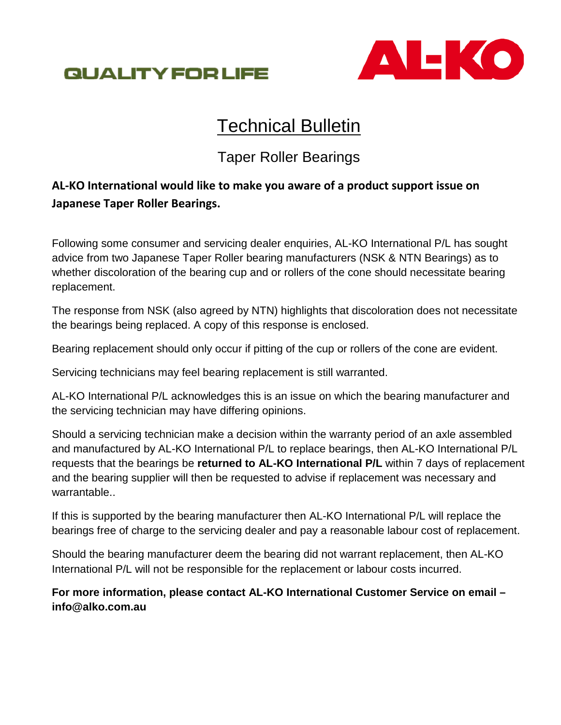



# **Technical Bulletin**

# Taper Roller Bearings

# **AL-KO International would like to make you aware of a product support issue on Japanese Taper Roller Bearings.**

Following some consumer and servicing dealer enquiries, AL-KO International P/L has sought advice from two Japanese Taper Roller bearing manufacturers (NSK & NTN Bearings) as to whether discoloration of the bearing cup and or rollers of the cone should necessitate bearing replacement.

The response from NSK (also agreed by NTN) highlights that discoloration does not necessitate the bearings being replaced. A copy of this response is enclosed.

Bearing replacement should only occur if pitting of the cup or rollers of the cone are evident.

Servicing technicians may feel bearing replacement is still warranted.

AL-KO International P/L acknowledges this is an issue on which the bearing manufacturer and the servicing technician may have differing opinions.

Should a servicing technician make a decision within the warranty period of an axle assembled and manufactured by AL-KO International P/L to replace bearings, then AL-KO International P/L requests that the bearings be **returned to AL-KO International P/L** within 7 days of replacement and the bearing supplier will then be requested to advise if replacement was necessary and warrantable..

If this is supported by the bearing manufacturer then AL-KO International P/L will replace the bearings free of charge to the servicing dealer and pay a reasonable labour cost of replacement.

Should the bearing manufacturer deem the bearing did not warrant replacement, then AL-KO International P/L will not be responsible for the replacement or labour costs incurred.

## **For more information, please contact AL-KO International Customer Service on email – info@alko.com.au**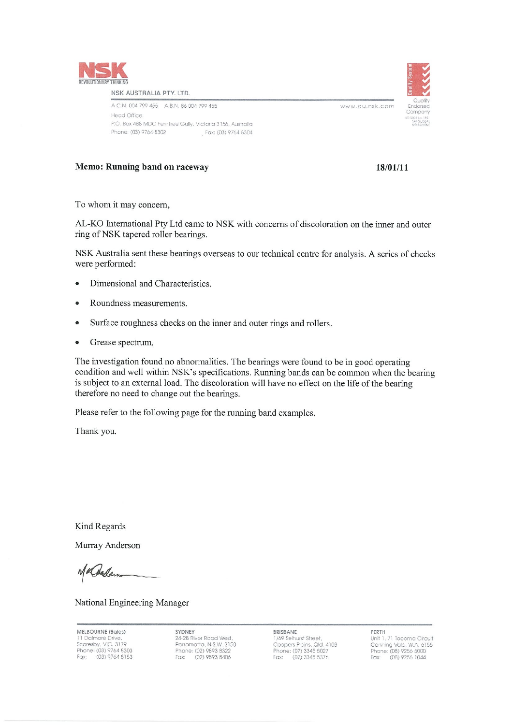

#### NSK AUSTRALIA PTY, LTD.

| A.C.N. 004 799 455 A.B.N. 86 004 799 455                  |  |                     |
|-----------------------------------------------------------|--|---------------------|
| lead Office:                                              |  |                     |
| P.O. Box 488 MDC Ferntree Gully, Victoria 3156, Australia |  |                     |
| Phone: (03) 9764 8302                                     |  | Fax: (03) 9764 8304 |

## Memo: Running band on raceway

## 18/01/11

www.au.nsk.com

To whom it may concern,

AL-KO International Pty Ltd came to NSK with concerns of discoloration on the inner and outer ring of NSK tapered roller bearings.

NSK Australia sent these bearings overseas to our technical centre for analysis. A series of checks were performed:

- Dimensional and Characteristics.
- Roundness measurements.  $\bullet$
- Surface roughness checks on the inner and outer rings and rollers.
- Grease spectrum.  $\bullet$

The investigation found no abnormalities. The bearings were found to be in good operating condition and well within NSK's specifications. Running bands can be common when the bearing is subject to an external load. The discoloration will have no effect on the life of the bearing therefore no need to change out the bearings.

Please refer to the following page for the running band examples.

Thank you.

Kind Regards

Murray Anderson

Khadem

National Engineering Manager

MELBOURNE (Sales) 11 Dalmore Drive,<br>11 Dalmore Drive,<br>Scoresby, VIC, 3179<br>Phone: (03) 9764 8303<br>Fax: (03) 9764 8153 SYDNEY 24-28 River Road West Parromatta, N.S.W. 2150<br>Phone: (02) 9893 8322 (02) 9893 8406 Fax:

BRISBANE 1/69 Selhurst Street,<br>Coopers Plains, Qld. 4108<br>Phone: (07) 3345 5027<br>Fax: (07) 3345 5376 PERTH Unit 1, 71 Tacoma Circuit Canning Vale, W.A. 6155<br>Phone: (08) 9256 5000 Fax: (08) 9256 1044